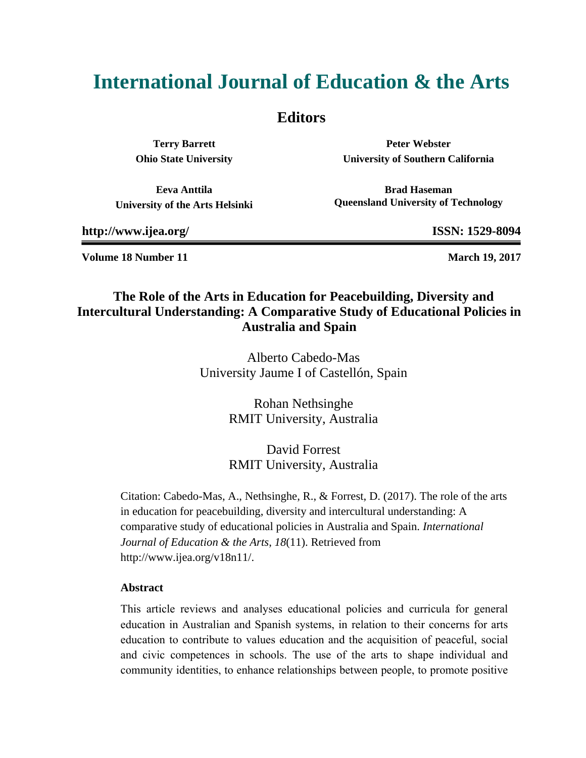# **International Journal of Education & the Arts**

### **Editors**

**Terry Barrett Ohio State University**

**Peter Webster University of Southern California**

**Eeva Anttila University of the Arts Helsinki**

**Brad Haseman Queensland University of Technology**

**http://www.ijea.org/ ISSN: 1529-8094**

**Volume 18 Number 11 March 19, 2017 March 19, 2017** 

### **The Role of the Arts in Education for Peacebuilding, Diversity and Intercultural Understanding: A Comparative Study of Educational Policies in Australia and Spain**

Alberto Cabedo-Mas University Jaume I of Castellón, Spain

> Rohan Nethsinghe RMIT University, Australia

> David Forrest RMIT University, Australia

Citation: Cabedo-Mas, A., Nethsinghe, R., & Forrest, D. (2017). The role of the arts in education for peacebuilding, diversity and intercultural understanding: A comparative study of educational policies in Australia and Spain. *International Journal of Education & the Arts*, *18*(11). Retrieved from http://www.ijea.org/v18n11/.

#### **Abstract**

This article reviews and analyses educational policies and curricula for general education in Australian and Spanish systems, in relation to their concerns for arts education to contribute to values education and the acquisition of peaceful, social and civic competences in schools. The use of the arts to shape individual and community identities, to enhance relationships between people, to promote positive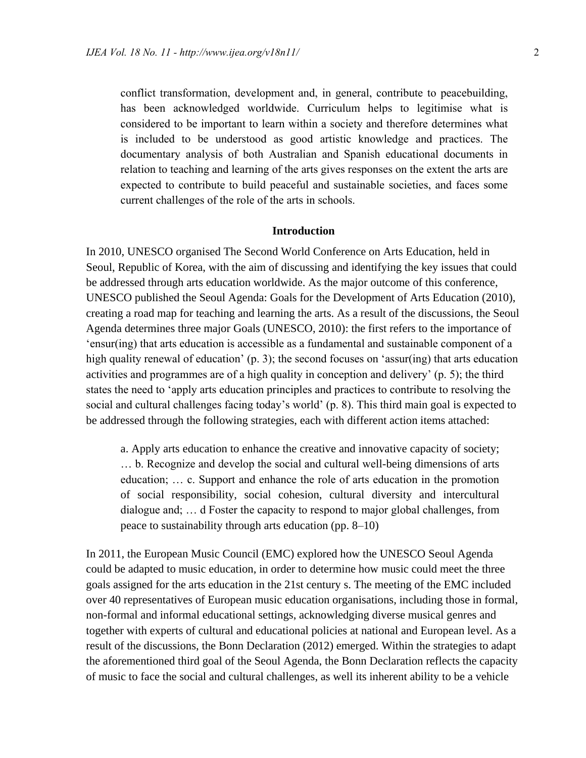conflict transformation, development and, in general, contribute to peacebuilding, has been acknowledged worldwide. Curriculum helps to legitimise what is considered to be important to learn within a society and therefore determines what is included to be understood as good artistic knowledge and practices. The documentary analysis of both Australian and Spanish educational documents in relation to teaching and learning of the arts gives responses on the extent the arts are expected to contribute to build peaceful and sustainable societies, and faces some current challenges of the role of the arts in schools.

#### **Introduction**

In 2010, UNESCO organised The Second World Conference on Arts Education, held in Seoul, Republic of Korea, with the aim of discussing and identifying the key issues that could be addressed through arts education worldwide. As the major outcome of this conference, UNESCO published the Seoul Agenda: Goals for the Development of Arts Education (2010), creating a road map for teaching and learning the arts. As a result of the discussions, the Seoul Agenda determines three major Goals (UNESCO, 2010): the first refers to the importance of 'ensur(ing) that arts education is accessible as a fundamental and sustainable component of a high quality renewal of education' (p. 3); the second focuses on 'assur(ing) that arts education activities and programmes are of a high quality in conception and delivery' (p. 5); the third states the need to 'apply arts education principles and practices to contribute to resolving the social and cultural challenges facing today's world' (p. 8). This third main goal is expected to be addressed through the following strategies, each with different action items attached:

a. Apply arts education to enhance the creative and innovative capacity of society; … b. Recognize and develop the social and cultural well-being dimensions of arts education; … c. Support and enhance the role of arts education in the promotion of social responsibility, social cohesion, cultural diversity and intercultural dialogue and; … d Foster the capacity to respond to major global challenges, from peace to sustainability through arts education (pp. 8–10)

In 2011, the European Music Council (EMC) explored how the UNESCO Seoul Agenda could be adapted to music education, in order to determine how music could meet the three goals assigned for the arts education in the 21st century s. The meeting of the EMC included over 40 representatives of European music education organisations, including those in formal, non-formal and informal educational settings, acknowledging diverse musical genres and together with experts of cultural and educational policies at national and European level. As a result of the discussions, the Bonn Declaration (2012) emerged. Within the strategies to adapt the aforementioned third goal of the Seoul Agenda, the Bonn Declaration reflects the capacity of music to face the social and cultural challenges, as well its inherent ability to be a vehicle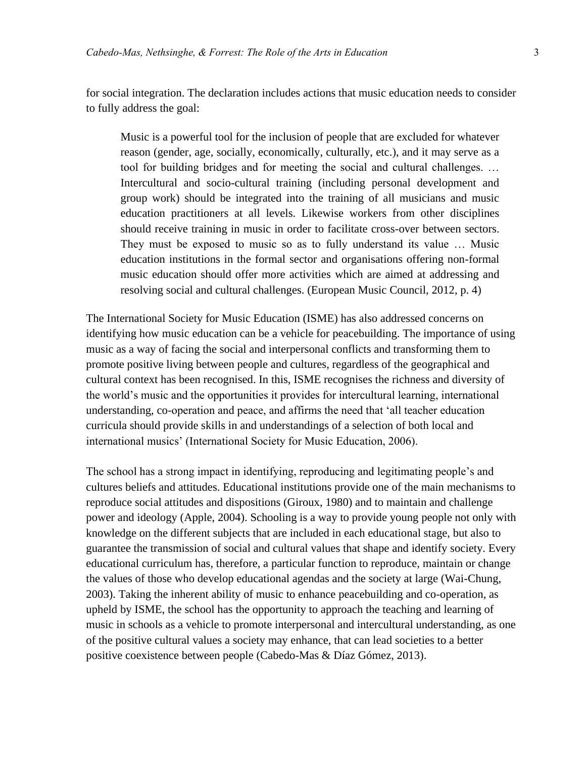for social integration. The declaration includes actions that music education needs to consider to fully address the goal:

Music is a powerful tool for the inclusion of people that are excluded for whatever reason (gender, age, socially, economically, culturally, etc.), and it may serve as a tool for building bridges and for meeting the social and cultural challenges. … Intercultural and socio-cultural training (including personal development and group work) should be integrated into the training of all musicians and music education practitioners at all levels. Likewise workers from other disciplines should receive training in music in order to facilitate cross-over between sectors. They must be exposed to music so as to fully understand its value … Music education institutions in the formal sector and organisations offering non-formal music education should offer more activities which are aimed at addressing and resolving social and cultural challenges. (European Music Council, 2012, p. 4)

The International Society for Music Education (ISME) has also addressed concerns on identifying how music education can be a vehicle for peacebuilding. The importance of using music as a way of facing the social and interpersonal conflicts and transforming them to promote positive living between people and cultures, regardless of the geographical and cultural context has been recognised. In this, ISME recognises the richness and diversity of the world's music and the opportunities it provides for intercultural learning, international understanding, co-operation and peace, and affirms the need that 'all teacher education curricula should provide skills in and understandings of a selection of both local and international musics' (International Society for Music Education, 2006).

The school has a strong impact in identifying, reproducing and legitimating people's and cultures beliefs and attitudes. Educational institutions provide one of the main mechanisms to reproduce social attitudes and dispositions (Giroux, 1980) and to maintain and challenge power and ideology (Apple, 2004). Schooling is a way to provide young people not only with knowledge on the different subjects that are included in each educational stage, but also to guarantee the transmission of social and cultural values that shape and identify society. Every educational curriculum has, therefore, a particular function to reproduce, maintain or change the values of those who develop educational agendas and the society at large (Wai-Chung, 2003). Taking the inherent ability of music to enhance peacebuilding and co-operation, as upheld by ISME, the school has the opportunity to approach the teaching and learning of music in schools as a vehicle to promote interpersonal and intercultural understanding, as one of the positive cultural values a society may enhance, that can lead societies to a better positive coexistence between people (Cabedo-Mas & Díaz Gómez, 2013).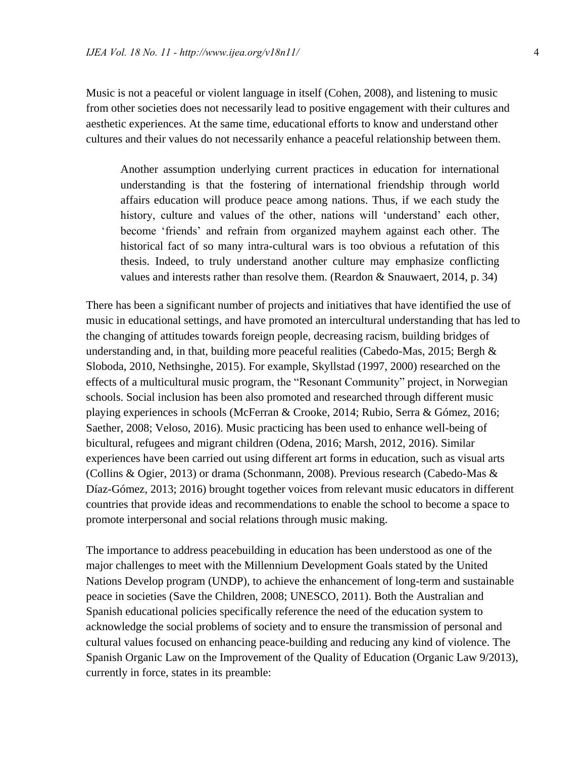Music is not a peaceful or violent language in itself (Cohen, 2008), and listening to music from other societies does not necessarily lead to positive engagement with their cultures and aesthetic experiences. At the same time, educational efforts to know and understand other cultures and their values do not necessarily enhance a peaceful relationship between them.

Another assumption underlying current practices in education for international understanding is that the fostering of international friendship through world affairs education will produce peace among nations. Thus, if we each study the history, culture and values of the other, nations will 'understand' each other, become 'friends' and refrain from organized mayhem against each other. The historical fact of so many intra-cultural wars is too obvious a refutation of this thesis. Indeed, to truly understand another culture may emphasize conflicting values and interests rather than resolve them. (Reardon & Snauwaert, 2014, p. 34)

There has been a significant number of projects and initiatives that have identified the use of music in educational settings, and have promoted an intercultural understanding that has led to the changing of attitudes towards foreign people, decreasing racism, building bridges of understanding and, in that, building more peaceful realities (Cabedo-Mas, 2015; Bergh & Sloboda, 2010, Nethsinghe, 2015). For example, Skyllstad (1997, 2000) researched on the effects of a multicultural music program, the "Resonant Community" project, in Norwegian schools. Social inclusion has been also promoted and researched through different music playing experiences in schools (McFerran & Crooke, 2014; Rubio, Serra & Gómez, 2016; Saether, 2008; Veloso, 2016). Music practicing has been used to enhance well-being of bicultural, refugees and migrant children (Odena, 2016; Marsh, 2012, 2016). Similar experiences have been carried out using different art forms in education, such as visual arts (Collins & Ogier, 2013) or drama (Schonmann, 2008). Previous research (Cabedo-Mas & Díaz-Gómez, 2013; 2016) brought together voices from relevant music educators in different countries that provide ideas and recommendations to enable the school to become a space to promote interpersonal and social relations through music making.

The importance to address peacebuilding in education has been understood as one of the major challenges to meet with the Millennium Development Goals stated by the United Nations Develop program (UNDP), to achieve the enhancement of long-term and sustainable peace in societies (Save the Children, 2008; UNESCO, 2011). Both the Australian and Spanish educational policies specifically reference the need of the education system to acknowledge the social problems of society and to ensure the transmission of personal and cultural values focused on enhancing peace-building and reducing any kind of violence. The Spanish Organic Law on the Improvement of the Quality of Education (Organic Law 9/2013), currently in force, states in its preamble: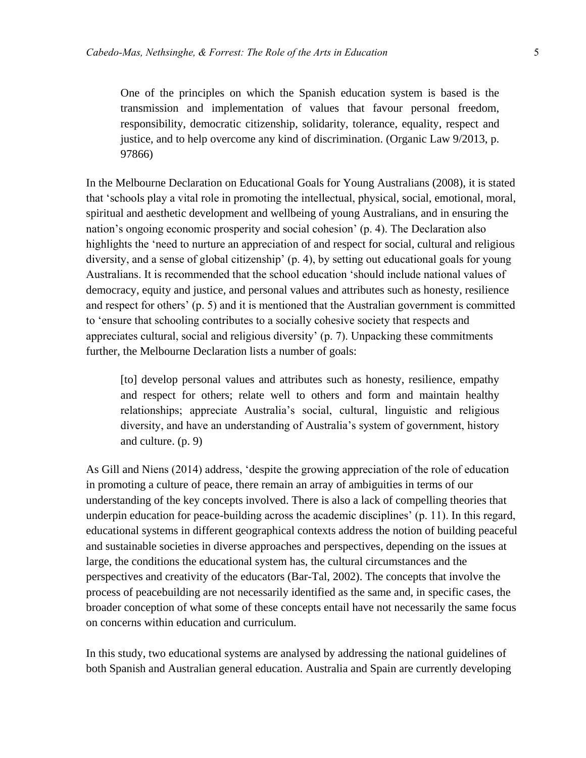One of the principles on which the Spanish education system is based is the transmission and implementation of values that favour personal freedom, responsibility, democratic citizenship, solidarity, tolerance, equality, respect and justice, and to help overcome any kind of discrimination. (Organic Law 9/2013, p. 97866)

In the Melbourne Declaration on Educational Goals for Young Australians (2008), it is stated that 'schools play a vital role in promoting the intellectual, physical, social, emotional, moral, spiritual and aesthetic development and wellbeing of young Australians, and in ensuring the nation's ongoing economic prosperity and social cohesion' (p. 4). The Declaration also highlights the 'need to nurture an appreciation of and respect for social, cultural and religious diversity, and a sense of global citizenship' (p. 4), by setting out educational goals for young Australians. It is recommended that the school education 'should include national values of democracy, equity and justice, and personal values and attributes such as honesty, resilience and respect for others' (p. 5) and it is mentioned that the Australian government is committed to 'ensure that schooling contributes to a socially cohesive society that respects and appreciates cultural, social and religious diversity' (p. 7). Unpacking these commitments further, the Melbourne Declaration lists a number of goals:

[to] develop personal values and attributes such as honesty, resilience, empathy and respect for others; relate well to others and form and maintain healthy relationships; appreciate Australia's social, cultural, linguistic and religious diversity, and have an understanding of Australia's system of government, history and culture. (p. 9)

As Gill and Niens (2014) address, 'despite the growing appreciation of the role of education in promoting a culture of peace, there remain an array of ambiguities in terms of our understanding of the key concepts involved. There is also a lack of compelling theories that underpin education for peace-building across the academic disciplines' (p. 11). In this regard, educational systems in different geographical contexts address the notion of building peaceful and sustainable societies in diverse approaches and perspectives, depending on the issues at large, the conditions the educational system has, the cultural circumstances and the perspectives and creativity of the educators (Bar-Tal, 2002). The concepts that involve the process of peacebuilding are not necessarily identified as the same and, in specific cases, the broader conception of what some of these concepts entail have not necessarily the same focus on concerns within education and curriculum.

In this study, two educational systems are analysed by addressing the national guidelines of both Spanish and Australian general education. Australia and Spain are currently developing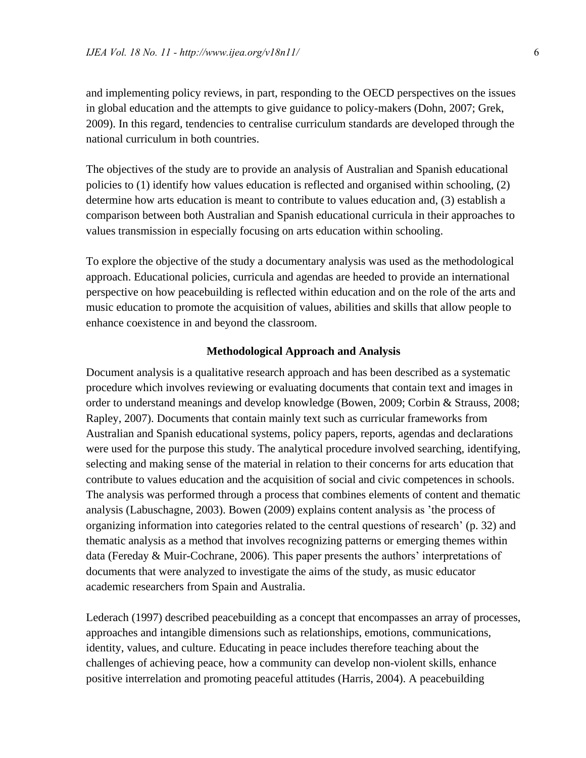and implementing policy reviews, in part, responding to the OECD perspectives on the issues in global education and the attempts to give guidance to policy-makers (Dohn, 2007; Grek, 2009). In this regard, tendencies to centralise curriculum standards are developed through the national curriculum in both countries.

The objectives of the study are to provide an analysis of Australian and Spanish educational policies to (1) identify how values education is reflected and organised within schooling, (2) determine how arts education is meant to contribute to values education and, (3) establish a comparison between both Australian and Spanish educational curricula in their approaches to values transmission in especially focusing on arts education within schooling.

To explore the objective of the study a documentary analysis was used as the methodological approach. Educational policies, curricula and agendas are heeded to provide an international perspective on how peacebuilding is reflected within education and on the role of the arts and music education to promote the acquisition of values, abilities and skills that allow people to enhance coexistence in and beyond the classroom.

#### **Methodological Approach and Analysis**

Document analysis is a qualitative research approach and has been described as a systematic procedure which involves reviewing or evaluating documents that contain text and images in order to understand meanings and develop knowledge (Bowen, 2009; Corbin & Strauss, 2008; Rapley, 2007). Documents that contain mainly text such as curricular frameworks from Australian and Spanish educational systems, policy papers, reports, agendas and declarations were used for the purpose this study. The analytical procedure involved searching, identifying, selecting and making sense of the material in relation to their concerns for arts education that contribute to values education and the acquisition of social and civic competences in schools. The analysis was performed through a process that combines elements of content and thematic analysis (Labuschagne, 2003). Bowen (2009) explains content analysis as 'the process of organizing information into categories related to the central questions of research' (p. 32) and thematic analysis as a method that involves recognizing patterns or emerging themes within data (Fereday & Muir-Cochrane, 2006). This paper presents the authors' interpretations of documents that were analyzed to investigate the aims of the study, as music educator academic researchers from Spain and Australia.

Lederach (1997) described peacebuilding as a concept that encompasses an array of processes, approaches and intangible dimensions such as relationships, emotions, communications, identity, values, and culture. Educating in peace includes therefore teaching about the challenges of achieving peace, how a community can develop non-violent skills, enhance positive interrelation and promoting peaceful attitudes (Harris, 2004). A peacebuilding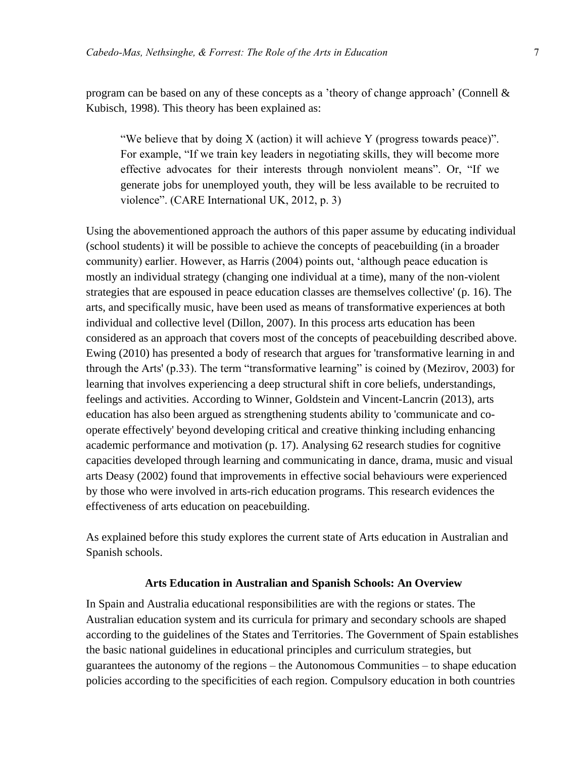program can be based on any of these concepts as a 'theory of change approach' (Connell & Kubisch, 1998). This theory has been explained as:

"We believe that by doing  $X$  (action) it will achieve Y (progress towards peace)". For example, "If we train key leaders in negotiating skills, they will become more effective advocates for their interests through nonviolent means". Or, "If we generate jobs for unemployed youth, they will be less available to be recruited to violence". (CARE International UK, 2012, p. 3)

Using the abovementioned approach the authors of this paper assume by educating individual (school students) it will be possible to achieve the concepts of peacebuilding (in a broader community) earlier. However, as Harris (2004) points out, 'although peace education is mostly an individual strategy (changing one individual at a time), many of the non-violent strategies that are espoused in peace education classes are themselves collective' (p. 16). The arts, and specifically music, have been used as means of transformative experiences at both individual and collective level (Dillon, 2007). In this process arts education has been considered as an approach that covers most of the concepts of peacebuilding described above. Ewing (2010) has presented a body of research that argues for 'transformative learning in and through the Arts' (p.33). The term "transformative learning" is coined by (Mezirov, 2003) for learning that involves experiencing a deep structural shift in core beliefs, understandings, feelings and activities. According to Winner, Goldstein and Vincent-Lancrin (2013), arts education has also been argued as strengthening students ability to 'communicate and cooperate effectively' beyond developing critical and creative thinking including enhancing academic performance and motivation (p. 17). Analysing 62 research studies for cognitive capacities developed through learning and communicating in dance, drama, music and visual arts Deasy (2002) found that improvements in effective social behaviours were experienced by those who were involved in arts-rich education programs. This research evidences the effectiveness of arts education on peacebuilding.

As explained before this study explores the current state of Arts education in Australian and Spanish schools.

#### **Arts Education in Australian and Spanish Schools: An Overview**

In Spain and Australia educational responsibilities are with the regions or states. The Australian education system and its curricula for primary and secondary schools are shaped according to the guidelines of the States and Territories. The Government of Spain establishes the basic national guidelines in educational principles and curriculum strategies, but guarantees the autonomy of the regions – the Autonomous Communities – to shape education policies according to the specificities of each region. Compulsory education in both countries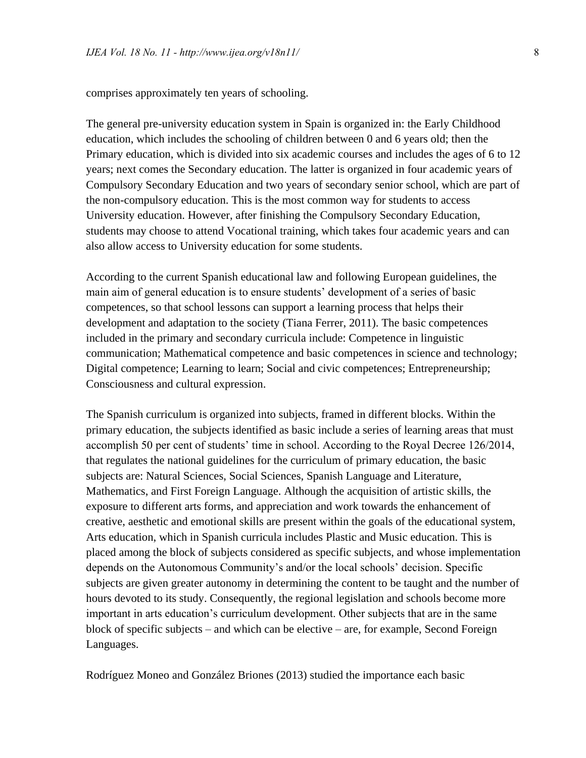comprises approximately ten years of schooling.

The general pre-university education system in Spain is organized in: the Early Childhood education, which includes the schooling of children between 0 and 6 years old; then the Primary education, which is divided into six academic courses and includes the ages of 6 to 12 years; next comes the Secondary education. The latter is organized in four academic years of Compulsory Secondary Education and two years of secondary senior school, which are part of the non-compulsory education. This is the most common way for students to access University education. However, after finishing the Compulsory Secondary Education, students may choose to attend Vocational training, which takes four academic years and can also allow access to University education for some students.

According to the current Spanish educational law and following European guidelines, the main aim of general education is to ensure students' development of a series of basic competences, so that school lessons can support a learning process that helps their development and adaptation to the society (Tiana Ferrer, 2011). The basic competences included in the primary and secondary curricula include: Competence in linguistic communication; Mathematical competence and basic competences in science and technology; Digital competence; Learning to learn; Social and civic competences; Entrepreneurship; Consciousness and cultural expression.

The Spanish curriculum is organized into subjects, framed in different blocks. Within the primary education, the subjects identified as basic include a series of learning areas that must accomplish 50 per cent of students' time in school. According to the Royal Decree 126/2014, that regulates the national guidelines for the curriculum of primary education, the basic subjects are: Natural Sciences, Social Sciences, Spanish Language and Literature, Mathematics, and First Foreign Language. Although the acquisition of artistic skills, the exposure to different arts forms, and appreciation and work towards the enhancement of creative, aesthetic and emotional skills are present within the goals of the educational system, Arts education, which in Spanish curricula includes Plastic and Music education. This is placed among the block of subjects considered as specific subjects, and whose implementation depends on the Autonomous Community's and/or the local schools' decision. Specific subjects are given greater autonomy in determining the content to be taught and the number of hours devoted to its study. Consequently, the regional legislation and schools become more important in arts education's curriculum development. Other subjects that are in the same block of specific subjects – and which can be elective – are, for example, Second Foreign Languages.

Rodríguez Moneo and González Briones (2013) studied the importance each basic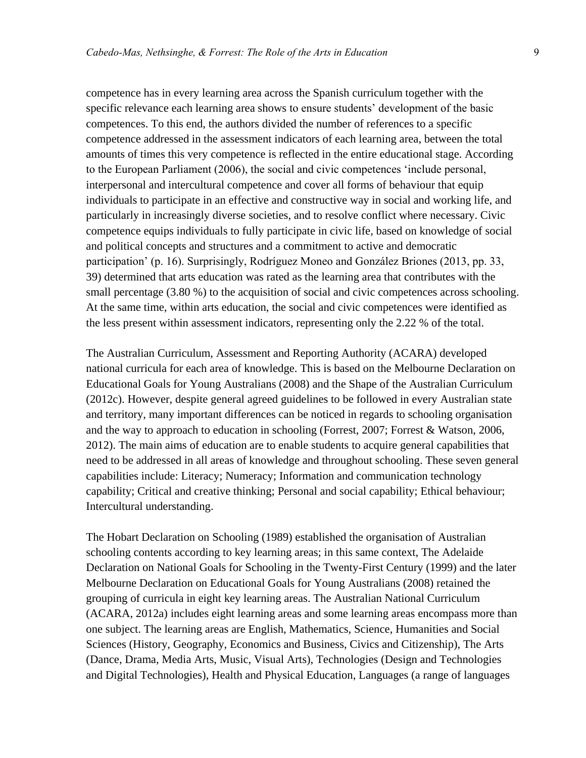competence has in every learning area across the Spanish curriculum together with the specific relevance each learning area shows to ensure students' development of the basic competences. To this end, the authors divided the number of references to a specific competence addressed in the assessment indicators of each learning area, between the total amounts of times this very competence is reflected in the entire educational stage. According to the European Parliament (2006), the social and civic competences 'include personal, interpersonal and intercultural competence and cover all forms of behaviour that equip individuals to participate in an effective and constructive way in social and working life, and particularly in increasingly diverse societies, and to resolve conflict where necessary. Civic competence equips individuals to fully participate in civic life, based on knowledge of social and political concepts and structures and a commitment to active and democratic participation' (p. 16). Surprisingly, Rodríguez Moneo and González Briones (2013, pp. 33, 39) determined that arts education was rated as the learning area that contributes with the small percentage (3.80 %) to the acquisition of social and civic competences across schooling. At the same time, within arts education, the social and civic competences were identified as the less present within assessment indicators, representing only the 2.22 % of the total.

The Australian Curriculum, Assessment and Reporting Authority (ACARA) developed national curricula for each area of knowledge. This is based on the Melbourne Declaration on Educational Goals for Young Australians (2008) and the Shape of the Australian Curriculum (2012c). However, despite general agreed guidelines to be followed in every Australian state and territory, many important differences can be noticed in regards to schooling organisation and the way to approach to education in schooling (Forrest, 2007; Forrest & Watson, 2006, 2012). The main aims of education are to enable students to acquire general capabilities that need to be addressed in all areas of knowledge and throughout schooling. These seven general capabilities include: Literacy; Numeracy; Information and communication technology capability; Critical and creative thinking; Personal and social capability; Ethical behaviour; Intercultural understanding.

The Hobart Declaration on Schooling (1989) established the organisation of Australian schooling contents according to key learning areas; in this same context, The Adelaide Declaration on National Goals for Schooling in the Twenty-First Century (1999) and the later Melbourne Declaration on Educational Goals for Young Australians (2008) retained the grouping of curricula in eight key learning areas. The Australian National Curriculum (ACARA, 2012a) includes eight learning areas and some learning areas encompass more than one subject. The learning areas are English, Mathematics, Science, Humanities and Social Sciences (History, Geography, Economics and Business, Civics and Citizenship), The Arts (Dance, Drama, Media Arts, Music, Visual Arts), Technologies (Design and Technologies and Digital Technologies), Health and Physical Education, Languages (a range of languages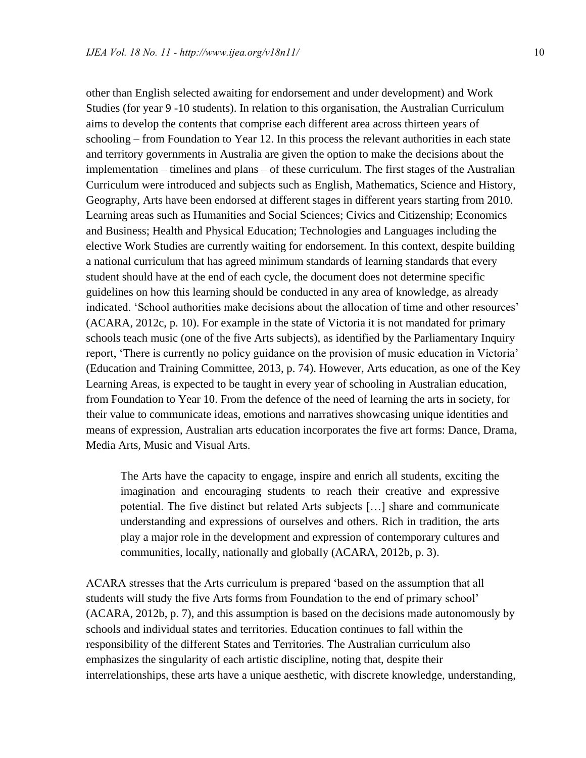other than English selected awaiting for endorsement and under development) and Work Studies (for year 9 -10 students). In relation to this organisation, the Australian Curriculum aims to develop the contents that comprise each different area across thirteen years of schooling – from Foundation to Year 12. In this process the relevant authorities in each state and territory governments in Australia are given the option to make the decisions about the implementation – timelines and plans – of these curriculum. The first stages of the Australian Curriculum were introduced and subjects such as English, Mathematics, Science and History, Geography, Arts have been endorsed at different stages in different years starting from 2010. Learning areas such as Humanities and Social Sciences; Civics and Citizenship; Economics and Business; Health and Physical Education; Technologies and Languages including the elective Work Studies are currently waiting for endorsement. In this context, despite building a national curriculum that has agreed minimum standards of learning standards that every student should have at the end of each cycle, the document does not determine specific guidelines on how this learning should be conducted in any area of knowledge, as already indicated. 'School authorities make decisions about the allocation of time and other resources' (ACARA, 2012c, p. 10). For example in the state of Victoria it is not mandated for primary schools teach music (one of the five Arts subjects), as identified by the Parliamentary Inquiry report, 'There is currently no policy guidance on the provision of music education in Victoria' (Education and Training Committee, 2013, p. 74). However, Arts education, as one of the Key Learning Areas, is expected to be taught in every year of schooling in Australian education, from Foundation to Year 10. From the defence of the need of learning the arts in society, for their value to communicate ideas, emotions and narratives showcasing unique identities and means of expression, Australian arts education incorporates the five art forms: Dance, Drama, Media Arts, Music and Visual Arts.

The Arts have the capacity to engage, inspire and enrich all students, exciting the imagination and encouraging students to reach their creative and expressive potential. The five distinct but related Arts subjects […] share and communicate understanding and expressions of ourselves and others. Rich in tradition, the arts play a major role in the development and expression of contemporary cultures and communities, locally, nationally and globally (ACARA, 2012b, p. 3).

ACARA stresses that the Arts curriculum is prepared 'based on the assumption that all students will study the five Arts forms from Foundation to the end of primary school' (ACARA, 2012b, p. 7), and this assumption is based on the decisions made autonomously by schools and individual states and territories. Education continues to fall within the responsibility of the different States and Territories. The Australian curriculum also emphasizes the singularity of each artistic discipline, noting that, despite their interrelationships, these arts have a unique aesthetic, with discrete knowledge, understanding,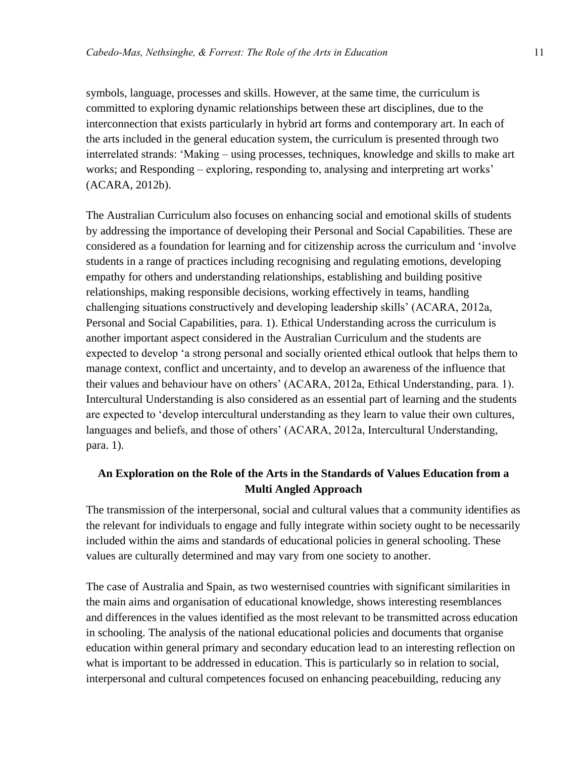symbols, language, processes and skills. However, at the same time, the curriculum is committed to exploring dynamic relationships between these art disciplines, due to the interconnection that exists particularly in hybrid art forms and contemporary art. In each of the arts included in the general education system, the curriculum is presented through two interrelated strands: 'Making – using processes, techniques, knowledge and skills to make art works; and Responding – exploring, responding to, analysing and interpreting art works' (ACARA, 2012b).

The Australian Curriculum also focuses on enhancing social and emotional skills of students by addressing the importance of developing their Personal and Social Capabilities. These are considered as a foundation for learning and for citizenship across the curriculum and 'involve students in a range of practices including recognising and regulating emotions, developing empathy for others and understanding relationships, establishing and building positive relationships, making responsible decisions, working effectively in teams, handling challenging situations constructively and developing leadership skills' (ACARA, 2012a, Personal and Social Capabilities, para. 1). Ethical Understanding across the curriculum is another important aspect considered in the Australian Curriculum and the students are expected to develop 'a strong personal and socially oriented ethical outlook that helps them to manage context, conflict and uncertainty, and to develop an awareness of the influence that their values and behaviour have on others' (ACARA, 2012a, Ethical Understanding, para. 1). Intercultural Understanding is also considered as an essential part of learning and the students are expected to 'develop intercultural understanding as they learn to value their own cultures, languages and beliefs, and those of others' (ACARA, 2012a, Intercultural Understanding, para. 1).

### **An Exploration on the Role of the Arts in the Standards of Values Education from a Multi Angled Approach**

The transmission of the interpersonal, social and cultural values that a community identifies as the relevant for individuals to engage and fully integrate within society ought to be necessarily included within the aims and standards of educational policies in general schooling. These values are culturally determined and may vary from one society to another.

The case of Australia and Spain, as two westernised countries with significant similarities in the main aims and organisation of educational knowledge, shows interesting resemblances and differences in the values identified as the most relevant to be transmitted across education in schooling. The analysis of the national educational policies and documents that organise education within general primary and secondary education lead to an interesting reflection on what is important to be addressed in education. This is particularly so in relation to social, interpersonal and cultural competences focused on enhancing peacebuilding, reducing any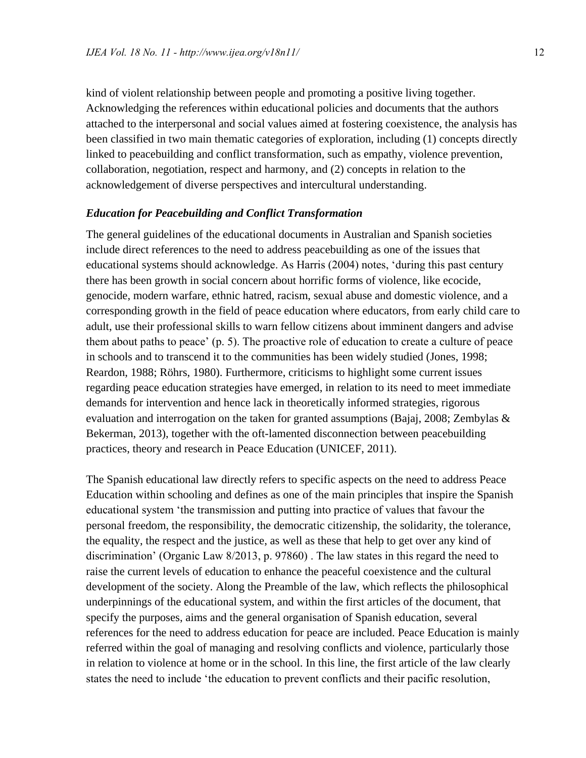kind of violent relationship between people and promoting a positive living together. Acknowledging the references within educational policies and documents that the authors attached to the interpersonal and social values aimed at fostering coexistence, the analysis has been classified in two main thematic categories of exploration, including (1) concepts directly linked to peacebuilding and conflict transformation, such as empathy, violence prevention, collaboration, negotiation, respect and harmony, and (2) concepts in relation to the acknowledgement of diverse perspectives and intercultural understanding.

#### *Education for Peacebuilding and Conflict Transformation*

The general guidelines of the educational documents in Australian and Spanish societies include direct references to the need to address peacebuilding as one of the issues that educational systems should acknowledge. As Harris (2004) notes, 'during this past century there has been growth in social concern about horrific forms of violence, like ecocide, genocide, modern warfare, ethnic hatred, racism, sexual abuse and domestic violence, and a corresponding growth in the field of peace education where educators, from early child care to adult, use their professional skills to warn fellow citizens about imminent dangers and advise them about paths to peace' (p. 5). The proactive role of education to create a culture of peace in schools and to transcend it to the communities has been widely studied (Jones, 1998; Reardon, 1988; Röhrs, 1980). Furthermore, criticisms to highlight some current issues regarding peace education strategies have emerged, in relation to its need to meet immediate demands for intervention and hence lack in theoretically informed strategies, rigorous evaluation and interrogation on the taken for granted assumptions (Bajaj, 2008; Zembylas & Bekerman, 2013), together with the oft-lamented disconnection between peacebuilding practices, theory and research in Peace Education (UNICEF, 2011).

The Spanish educational law directly refers to specific aspects on the need to address Peace Education within schooling and defines as one of the main principles that inspire the Spanish educational system 'the transmission and putting into practice of values that favour the personal freedom, the responsibility, the democratic citizenship, the solidarity, the tolerance, the equality, the respect and the justice, as well as these that help to get over any kind of discrimination' (Organic Law 8/2013, p. 97860) . The law states in this regard the need to raise the current levels of education to enhance the peaceful coexistence and the cultural development of the society. Along the Preamble of the law, which reflects the philosophical underpinnings of the educational system, and within the first articles of the document, that specify the purposes, aims and the general organisation of Spanish education, several references for the need to address education for peace are included. Peace Education is mainly referred within the goal of managing and resolving conflicts and violence, particularly those in relation to violence at home or in the school. In this line, the first article of the law clearly states the need to include 'the education to prevent conflicts and their pacific resolution,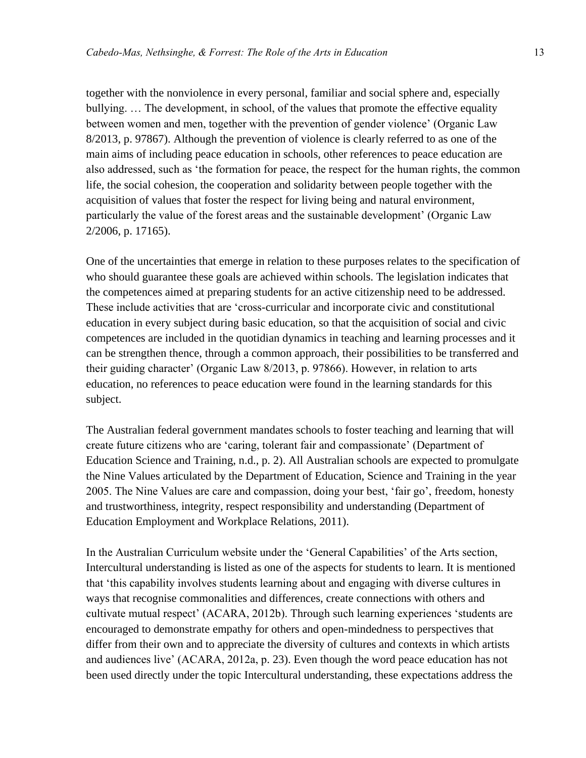together with the nonviolence in every personal, familiar and social sphere and, especially bullying. … The development, in school, of the values that promote the effective equality between women and men, together with the prevention of gender violence' (Organic Law 8/2013, p. 97867). Although the prevention of violence is clearly referred to as one of the main aims of including peace education in schools, other references to peace education are also addressed, such as 'the formation for peace, the respect for the human rights, the common life, the social cohesion, the cooperation and solidarity between people together with the acquisition of values that foster the respect for living being and natural environment, particularly the value of the forest areas and the sustainable development' (Organic Law 2/2006, p. 17165).

One of the uncertainties that emerge in relation to these purposes relates to the specification of who should guarantee these goals are achieved within schools. The legislation indicates that the competences aimed at preparing students for an active citizenship need to be addressed. These include activities that are 'cross-curricular and incorporate civic and constitutional education in every subject during basic education, so that the acquisition of social and civic competences are included in the quotidian dynamics in teaching and learning processes and it can be strengthen thence, through a common approach, their possibilities to be transferred and their guiding character' (Organic Law 8/2013, p. 97866). However, in relation to arts education, no references to peace education were found in the learning standards for this subject.

The Australian federal government mandates schools to foster teaching and learning that will create future citizens who are 'caring, tolerant fair and compassionate' (Department of Education Science and Training, n.d., p. 2). All Australian schools are expected to promulgate the Nine Values articulated by the Department of Education, Science and Training in the year 2005. The Nine Values are care and compassion, doing your best, 'fair go', freedom, honesty and trustworthiness, integrity, respect responsibility and understanding (Department of Education Employment and Workplace Relations, 2011).

In the Australian Curriculum website under the 'General Capabilities' of the Arts section, Intercultural understanding is listed as one of the aspects for students to learn. It is mentioned that 'this capability involves students learning about and engaging with diverse cultures in ways that recognise commonalities and differences, create connections with others and cultivate mutual respect' (ACARA, 2012b). Through such learning experiences 'students are encouraged to demonstrate empathy for others and open-mindedness to perspectives that differ from their own and to appreciate the diversity of cultures and contexts in which artists and audiences live' (ACARA, 2012a, p. 23). Even though the word peace education has not been used directly under the topic Intercultural understanding, these expectations address the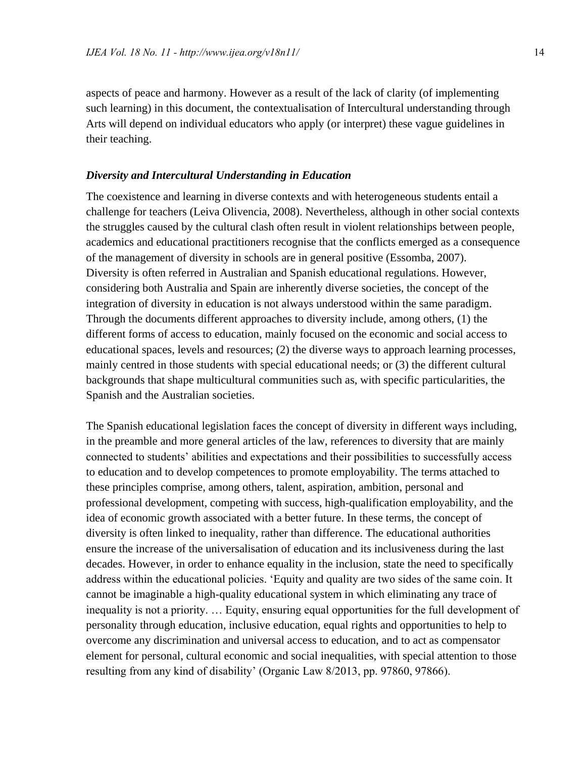aspects of peace and harmony. However as a result of the lack of clarity (of implementing such learning) in this document, the contextualisation of Intercultural understanding through Arts will depend on individual educators who apply (or interpret) these vague guidelines in their teaching.

#### *Diversity and Intercultural Understanding in Education*

The coexistence and learning in diverse contexts and with heterogeneous students entail a challenge for teachers (Leiva Olivencia, 2008). Nevertheless, although in other social contexts the struggles caused by the cultural clash often result in violent relationships between people, academics and educational practitioners recognise that the conflicts emerged as a consequence of the management of diversity in schools are in general positive (Essomba, 2007). Diversity is often referred in Australian and Spanish educational regulations. However, considering both Australia and Spain are inherently diverse societies, the concept of the integration of diversity in education is not always understood within the same paradigm. Through the documents different approaches to diversity include, among others, (1) the different forms of access to education, mainly focused on the economic and social access to educational spaces, levels and resources; (2) the diverse ways to approach learning processes, mainly centred in those students with special educational needs; or (3) the different cultural backgrounds that shape multicultural communities such as, with specific particularities, the Spanish and the Australian societies.

The Spanish educational legislation faces the concept of diversity in different ways including, in the preamble and more general articles of the law, references to diversity that are mainly connected to students' abilities and expectations and their possibilities to successfully access to education and to develop competences to promote employability. The terms attached to these principles comprise, among others, talent, aspiration, ambition, personal and professional development, competing with success, high-qualification employability, and the idea of economic growth associated with a better future. In these terms, the concept of diversity is often linked to inequality, rather than difference. The educational authorities ensure the increase of the universalisation of education and its inclusiveness during the last decades. However, in order to enhance equality in the inclusion, state the need to specifically address within the educational policies. 'Equity and quality are two sides of the same coin. It cannot be imaginable a high-quality educational system in which eliminating any trace of inequality is not a priority. … Equity, ensuring equal opportunities for the full development of personality through education, inclusive education, equal rights and opportunities to help to overcome any discrimination and universal access to education, and to act as compensator element for personal, cultural economic and social inequalities, with special attention to those resulting from any kind of disability' (Organic Law 8/2013, pp. 97860, 97866).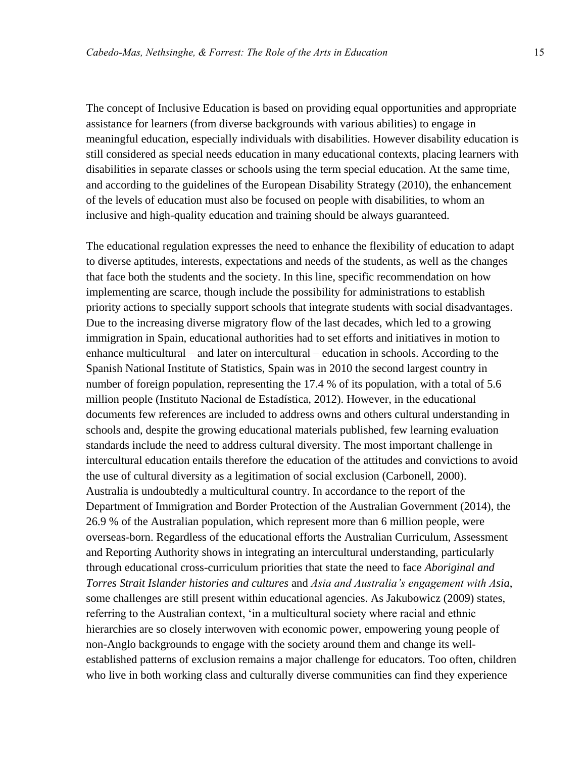The concept of Inclusive Education is based on providing equal opportunities and appropriate assistance for learners (from diverse backgrounds with various abilities) to engage in meaningful education, especially individuals with disabilities. However disability education is still considered as special needs education in many educational contexts, placing learners with disabilities in separate classes or schools using the term special education. At the same time, and according to the guidelines of the European Disability Strategy (2010), the enhancement of the levels of education must also be focused on people with disabilities, to whom an inclusive and high-quality education and training should be always guaranteed.

The educational regulation expresses the need to enhance the flexibility of education to adapt to diverse aptitudes, interests, expectations and needs of the students, as well as the changes that face both the students and the society. In this line, specific recommendation on how implementing are scarce, though include the possibility for administrations to establish priority actions to specially support schools that integrate students with social disadvantages. Due to the increasing diverse migratory flow of the last decades, which led to a growing immigration in Spain, educational authorities had to set efforts and initiatives in motion to enhance multicultural – and later on intercultural – education in schools. According to the Spanish National Institute of Statistics, Spain was in 2010 the second largest country in number of foreign population, representing the 17.4 % of its population, with a total of 5.6 million people (Instituto Nacional de Estadística, 2012). However, in the educational documents few references are included to address owns and others cultural understanding in schools and, despite the growing educational materials published, few learning evaluation standards include the need to address cultural diversity. The most important challenge in intercultural education entails therefore the education of the attitudes and convictions to avoid the use of cultural diversity as a legitimation of social exclusion (Carbonell, 2000). Australia is undoubtedly a multicultural country. In accordance to the report of the Department of Immigration and Border Protection of the Australian Government (2014), the 26.9 % of the Australian population, which represent more than 6 million people, were overseas-born. Regardless of the educational efforts the Australian Curriculum, Assessment and Reporting Authority shows in integrating an intercultural understanding, particularly through educational cross-curriculum priorities that state the need to face *Aboriginal and Torres Strait Islander histories and cultures* and *Asia and Australia's engagement with Asia*, some challenges are still present within educational agencies. As Jakubowicz (2009) states, referring to the Australian context, 'in a multicultural society where racial and ethnic hierarchies are so closely interwoven with economic power, empowering young people of non-Anglo backgrounds to engage with the society around them and change its wellestablished patterns of exclusion remains a major challenge for educators. Too often, children who live in both working class and culturally diverse communities can find they experience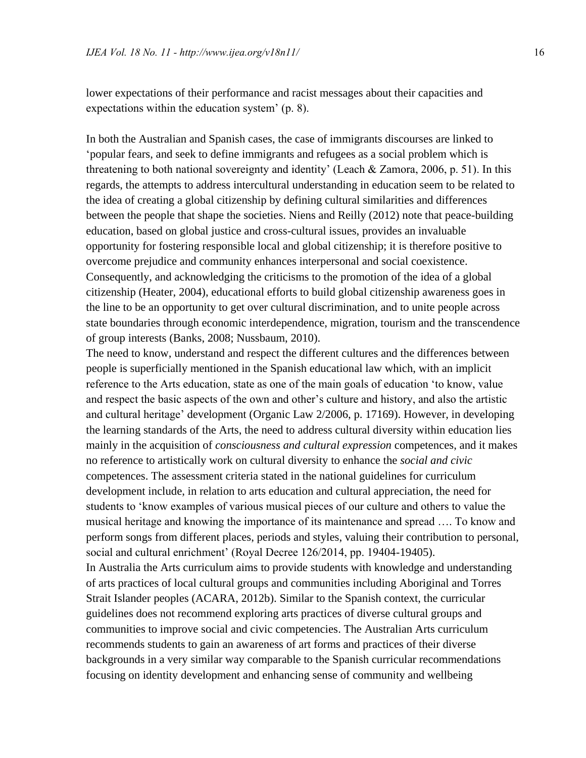lower expectations of their performance and racist messages about their capacities and expectations within the education system' (p. 8).

In both the Australian and Spanish cases, the case of immigrants discourses are linked to 'popular fears, and seek to define immigrants and refugees as a social problem which is threatening to both national sovereignty and identity' (Leach & Zamora, 2006, p. 51). In this regards, the attempts to address intercultural understanding in education seem to be related to the idea of creating a global citizenship by defining cultural similarities and differences between the people that shape the societies. Niens and Reilly (2012) note that peace-building education, based on global justice and cross-cultural issues, provides an invaluable opportunity for fostering responsible local and global citizenship; it is therefore positive to overcome prejudice and community enhances interpersonal and social coexistence. Consequently, and acknowledging the criticisms to the promotion of the idea of a global citizenship (Heater, 2004), educational efforts to build global citizenship awareness goes in the line to be an opportunity to get over cultural discrimination, and to unite people across state boundaries through economic interdependence, migration, tourism and the transcendence of group interests (Banks, 2008; Nussbaum, 2010).

The need to know, understand and respect the different cultures and the differences between people is superficially mentioned in the Spanish educational law which, with an implicit reference to the Arts education, state as one of the main goals of education 'to know, value and respect the basic aspects of the own and other's culture and history, and also the artistic and cultural heritage' development (Organic Law 2/2006, p. 17169). However, in developing the learning standards of the Arts, the need to address cultural diversity within education lies mainly in the acquisition of *consciousness and cultural expression* competences, and it makes no reference to artistically work on cultural diversity to enhance the *social and civic* competences. The assessment criteria stated in the national guidelines for curriculum development include, in relation to arts education and cultural appreciation, the need for students to 'know examples of various musical pieces of our culture and others to value the musical heritage and knowing the importance of its maintenance and spread …. To know and perform songs from different places, periods and styles, valuing their contribution to personal, social and cultural enrichment' (Royal Decree 126/2014, pp. 19404-19405). In Australia the Arts curriculum aims to provide students with knowledge and understanding of arts practices of local cultural groups and communities including Aboriginal and Torres Strait Islander peoples (ACARA, 2012b). Similar to the Spanish context, the curricular guidelines does not recommend exploring arts practices of diverse cultural groups and communities to improve social and civic competencies. The Australian Arts curriculum recommends students to gain an awareness of art forms and practices of their diverse backgrounds in a very similar way comparable to the Spanish curricular recommendations focusing on identity development and enhancing sense of community and wellbeing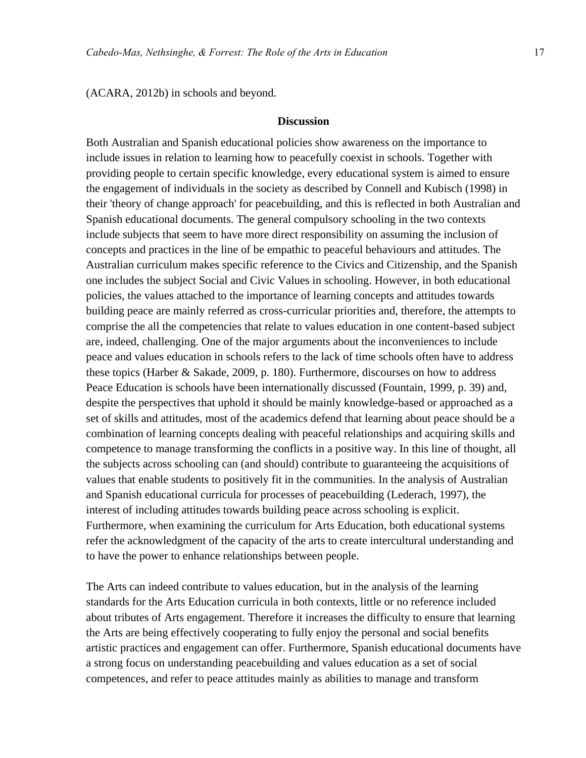(ACARA, 2012b) in schools and beyond.

#### **Discussion**

Both Australian and Spanish educational policies show awareness on the importance to include issues in relation to learning how to peacefully coexist in schools. Together with providing people to certain specific knowledge, every educational system is aimed to ensure the engagement of individuals in the society as described by Connell and Kubisch (1998) in their 'theory of change approach' for peacebuilding, and this is reflected in both Australian and Spanish educational documents. The general compulsory schooling in the two contexts include subjects that seem to have more direct responsibility on assuming the inclusion of concepts and practices in the line of be empathic to peaceful behaviours and attitudes. The Australian curriculum makes specific reference to the Civics and Citizenship, and the Spanish one includes the subject Social and Civic Values in schooling. However, in both educational policies, the values attached to the importance of learning concepts and attitudes towards building peace are mainly referred as cross-curricular priorities and, therefore, the attempts to comprise the all the competencies that relate to values education in one content-based subject are, indeed, challenging. One of the major arguments about the inconveniences to include peace and values education in schools refers to the lack of time schools often have to address these topics (Harber & Sakade, 2009, p. 180). Furthermore, discourses on how to address Peace Education is schools have been internationally discussed (Fountain, 1999, p. 39) and, despite the perspectives that uphold it should be mainly knowledge-based or approached as a set of skills and attitudes, most of the academics defend that learning about peace should be a combination of learning concepts dealing with peaceful relationships and acquiring skills and competence to manage transforming the conflicts in a positive way. In this line of thought, all the subjects across schooling can (and should) contribute to guaranteeing the acquisitions of values that enable students to positively fit in the communities. In the analysis of Australian and Spanish educational curricula for processes of peacebuilding (Lederach, 1997), the interest of including attitudes towards building peace across schooling is explicit. Furthermore, when examining the curriculum for Arts Education, both educational systems refer the acknowledgment of the capacity of the arts to create intercultural understanding and to have the power to enhance relationships between people.

The Arts can indeed contribute to values education, but in the analysis of the learning standards for the Arts Education curricula in both contexts, little or no reference included about tributes of Arts engagement. Therefore it increases the difficulty to ensure that learning the Arts are being effectively cooperating to fully enjoy the personal and social benefits artistic practices and engagement can offer. Furthermore, Spanish educational documents have a strong focus on understanding peacebuilding and values education as a set of social competences, and refer to peace attitudes mainly as abilities to manage and transform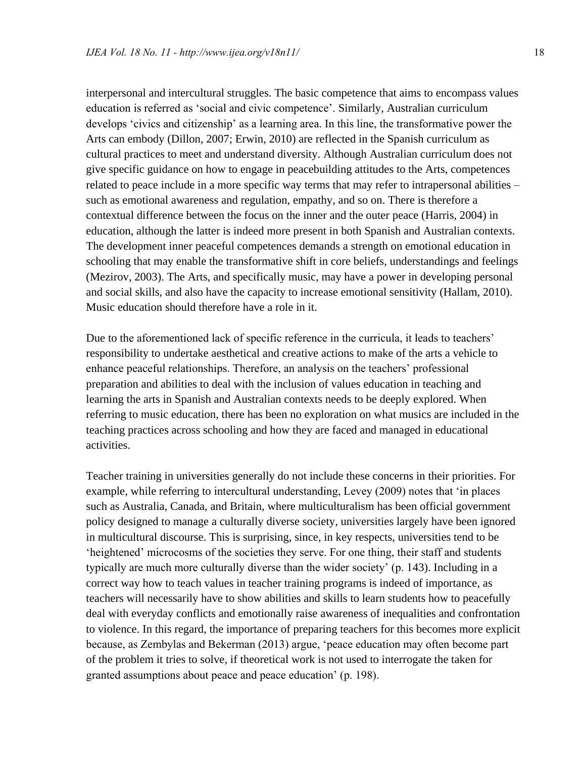interpersonal and intercultural struggles. The basic competence that aims to encompass values education is referred as 'social and civic competence'. Similarly, Australian curriculum develops 'civics and citizenship' as a learning area. In this line, the transformative power the Arts can embody (Dillon, 2007; Erwin, 2010) are reflected in the Spanish curriculum as cultural practices to meet and understand diversity. Although Australian curriculum does not give specific guidance on how to engage in peacebuilding attitudes to the Arts, competences related to peace include in a more specific way terms that may refer to intrapersonal abilities – such as emotional awareness and regulation, empathy, and so on. There is therefore a contextual difference between the focus on the inner and the outer peace (Harris, 2004) in education, although the latter is indeed more present in both Spanish and Australian contexts. The development inner peaceful competences demands a strength on emotional education in schooling that may enable the transformative shift in core beliefs, understandings and feelings (Mezirov, 2003). The Arts, and specifically music, may have a power in developing personal and social skills, and also have the capacity to increase emotional sensitivity (Hallam, 2010). Music education should therefore have a role in it.

Due to the aforementioned lack of specific reference in the curricula, it leads to teachers' responsibility to undertake aesthetical and creative actions to make of the arts a vehicle to enhance peaceful relationships. Therefore, an analysis on the teachers' professional preparation and abilities to deal with the inclusion of values education in teaching and learning the arts in Spanish and Australian contexts needs to be deeply explored. When referring to music education, there has been no exploration on what musics are included in the teaching practices across schooling and how they are faced and managed in educational activities.

Teacher training in universities generally do not include these concerns in their priorities. For example, while referring to intercultural understanding, Levey (2009) notes that 'in places such as Australia, Canada, and Britain, where multiculturalism has been official government policy designed to manage a culturally diverse society, universities largely have been ignored in multicultural discourse. This is surprising, since, in key respects, universities tend to be 'heightened' microcosms of the societies they serve. For one thing, their staff and students typically are much more culturally diverse than the wider society' (p. 143). Including in a correct way how to teach values in teacher training programs is indeed of importance, as teachers will necessarily have to show abilities and skills to learn students how to peacefully deal with everyday conflicts and emotionally raise awareness of inequalities and confrontation to violence. In this regard, the importance of preparing teachers for this becomes more explicit because, as Zembylas and Bekerman (2013) argue, 'peace education may often become part of the problem it tries to solve, if theoretical work is not used to interrogate the taken for granted assumptions about peace and peace education' (p. 198).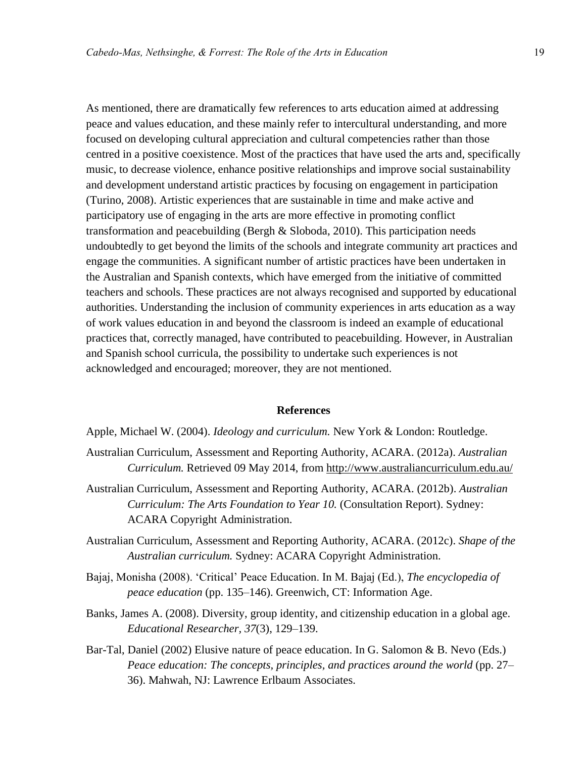As mentioned, there are dramatically few references to arts education aimed at addressing peace and values education, and these mainly refer to intercultural understanding, and more focused on developing cultural appreciation and cultural competencies rather than those centred in a positive coexistence. Most of the practices that have used the arts and, specifically music, to decrease violence, enhance positive relationships and improve social sustainability and development understand artistic practices by focusing on engagement in participation (Turino, 2008). Artistic experiences that are sustainable in time and make active and participatory use of engaging in the arts are more effective in promoting conflict transformation and peacebuilding (Bergh & Sloboda, 2010). This participation needs undoubtedly to get beyond the limits of the schools and integrate community art practices and engage the communities. A significant number of artistic practices have been undertaken in the Australian and Spanish contexts, which have emerged from the initiative of committed teachers and schools. These practices are not always recognised and supported by educational authorities. Understanding the inclusion of community experiences in arts education as a way of work values education in and beyond the classroom is indeed an example of educational practices that, correctly managed, have contributed to peacebuilding. However, in Australian and Spanish school curricula, the possibility to undertake such experiences is not acknowledged and encouraged; moreover, they are not mentioned.

#### **References**

Apple, Michael W. (2004). *Ideology and curriculum.* New York & London: Routledge.

- Australian Curriculum, Assessment and Reporting Authority, ACARA. (2012a). *Australian Curriculum.* Retrieved 09 May 2014, from<http://www.australiancurriculum.edu.au/>
- Australian Curriculum, Assessment and Reporting Authority, ACARA. (2012b). *Australian Curriculum: The Arts Foundation to Year 10.* (Consultation Report). Sydney: ACARA Copyright Administration.
- Australian Curriculum, Assessment and Reporting Authority, ACARA. (2012c). *Shape of the Australian curriculum.* Sydney: ACARA Copyright Administration.
- Bajaj, Monisha (2008). 'Critical' Peace Education. In M. Bajaj (Ed.), *The encyclopedia of peace education* (pp. 135–146). Greenwich, CT: Information Age.
- Banks, James A. (2008). Diversity, group identity, and citizenship education in a global age. *Educational Researcher, 37*(3), 129–139.
- Bar-Tal, Daniel (2002) Elusive nature of peace education. In G. Salomon & B. Nevo (Eds.) *Peace education: The concepts, principles, and practices around the world* (pp. 27– 36). Mahwah, NJ: Lawrence Erlbaum Associates.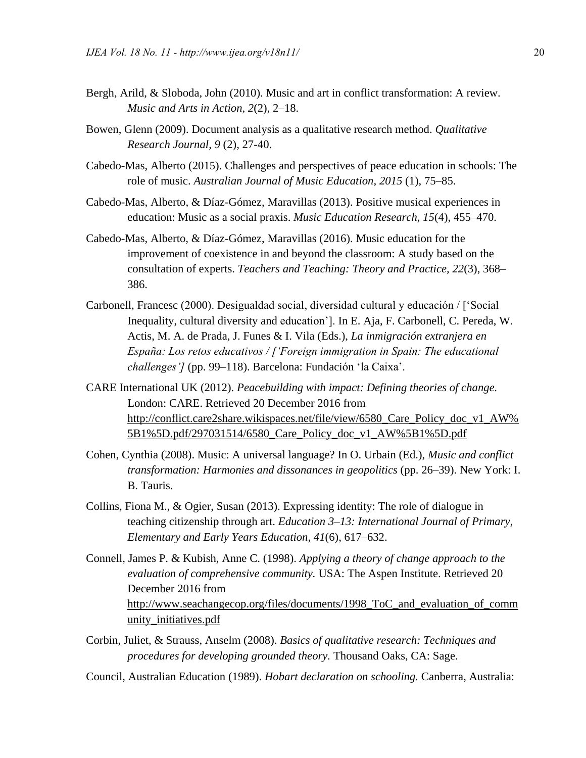- Bergh, Arild, & Sloboda, John (2010). Music and art in conflict transformation: A review. *Music and Arts in Action, 2*(2), 2–18.
- Bowen, Glenn (2009). Document analysis as a qualitative research method. *Qualitative Research Journal, 9* (2), 27-40.
- Cabedo-Mas, Alberto (2015). Challenges and perspectives of peace education in schools: The role of music. *Australian Journal of Music Education, 2015* (1), 75–85.
- Cabedo-Mas, Alberto, & Díaz-Gómez, Maravillas (2013). Positive musical experiences in education: Music as a social praxis. *Music Education Research, 15*(4), 455–470.
- Cabedo-Mas, Alberto, & Díaz-Gómez, Maravillas (2016). Music education for the improvement of coexistence in and beyond the classroom: A study based on the consultation of experts. *Teachers and Teaching: Theory and Practice, 22*(3), 368– 386.
- Carbonell, Francesc (2000). Desigualdad social, diversidad cultural y educación / ['Social Inequality, cultural diversity and education']. In E. Aja, F. Carbonell, C. Pereda, W. Actis, M. A. de Prada, J. Funes & I. Vila (Eds.), *La inmigración extranjera en España: Los retos educativos / ['Foreign immigration in Spain: The educational challenges']* (pp. 99–118). Barcelona: Fundación 'la Caixa'.
- CARE International UK (2012). *Peacebuilding with impact: Defining theories of change.* London: CARE. Retrieved 20 December 2016 from http://conflict.care2share.wikispaces.net/file/view/6580\_Care\_Policy\_doc\_v1\_AW% 5B1%5D.pdf/297031514/6580\_Care\_Policy\_doc\_v1\_AW%5B1%5D.pdf
- Cohen, Cynthia (2008). Music: A universal language? In O. Urbain (Ed.), *Music and conflict transformation: Harmonies and dissonances in geopolitics* (pp. 26–39). New York: I. B. Tauris.
- Collins, Fiona M., & Ogier, Susan (2013). Expressing identity: The role of dialogue in teaching citizenship through art. *Education 3–13: International Journal of Primary, Elementary and Early Years Education, 41*(6), 617–632.
- Connell, James P. & Kubish, Anne C. (1998). *Applying a theory of change approach to the evaluation of comprehensive community.* USA: The Aspen Institute. Retrieved 20 December 2016 from http://www.seachangecop.org/files/documents/1998\_ToC\_and\_evaluation\_of\_comm unity\_initiatives.pdf
- Corbin, Juliet, & Strauss, Anselm (2008). *Basics of qualitative research: Techniques and procedures for developing grounded theory.* Thousand Oaks, CA: Sage.
- Council, Australian Education (1989). *Hobart declaration on schooling.* Canberra, Australia: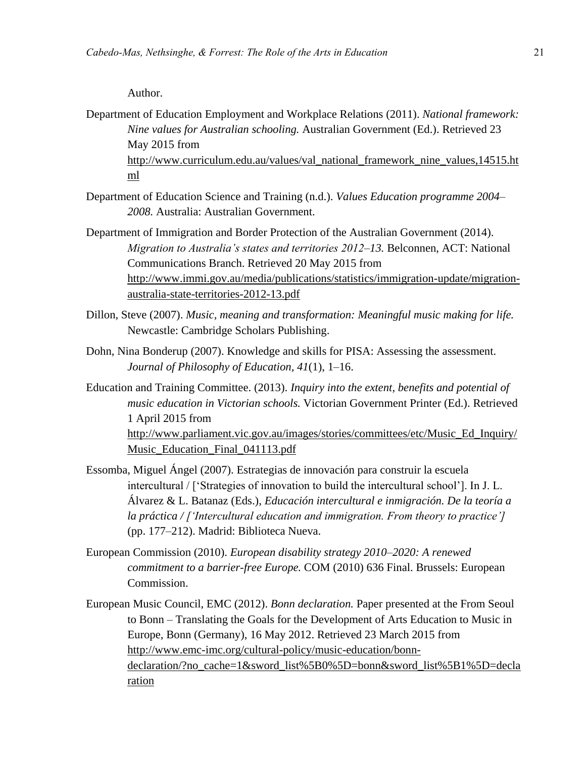#### Author.

- Department of Education Employment and Workplace Relations (2011). *National framework: Nine values for Australian schooling.* Australian Government (Ed.). Retrieved 23 May 2015 from [http://www.curriculum.edu.au/values/val\\_national\\_framework\\_nine\\_values,14515.ht](http://www.curriculum.edu.au/values/val_national_framework_nine_values,14515.html) [ml](http://www.curriculum.edu.au/values/val_national_framework_nine_values,14515.html)
- Department of Education Science and Training (n.d.). *Values Education programme 2004– 2008.* Australia: Australian Government.
- Department of Immigration and Border Protection of the Australian Government (2014). *Migration to Australia's states and territories 2012–13.* Belconnen, ACT: National Communications Branch. Retrieved 20 May 2015 from [http://www.immi.gov.au/media/publications/statistics/immigration-update/migration](http://www.immi.gov.au/media/publications/statistics/immigration-update/migration-australia-state-territories-2012-13.pdf)[australia-state-territories-2012-13.pdf](http://www.immi.gov.au/media/publications/statistics/immigration-update/migration-australia-state-territories-2012-13.pdf)
- Dillon, Steve (2007). *Music, meaning and transformation: Meaningful music making for life.* Newcastle: Cambridge Scholars Publishing.
- Dohn, Nina Bonderup (2007). Knowledge and skills for PISA: Assessing the assessment. *Journal of Philosophy of Education, 41*(1), 1–16.
- Education and Training Committee. (2013). *Inquiry into the extent, benefits and potential of music education in Victorian schools.* Victorian Government Printer (Ed.). Retrieved 1 April 2015 from [http://www.parliament.vic.gov.au/images/stories/committees/etc/Music\\_Ed\\_Inquiry/](http://www.parliament.vic.gov.au/images/stories/committees/etc/Music_Ed_Inquiry/Music_Education_Final_041113.pdf) Music Education Final 041113.pdf
- Essomba, Miguel Ángel (2007). Estrategias de innovación para construir la escuela intercultural / ['Strategies of innovation to build the intercultural school']. In J. L. Álvarez & L. Batanaz (Eds.), *Educación intercultural e inmigración. De la teoría a la práctica / ['Intercultural education and immigration. From theory to practice']* (pp. 177–212). Madrid: Biblioteca Nueva.
- European Commission (2010). *European disability strategy 2010–2020: A renewed commitment to a barrier-free Europe.* COM (2010) 636 Final. Brussels: European Commission.
- European Music Council, EMC (2012). *Bonn declaration.* Paper presented at the From Seoul to Bonn – Translating the Goals for the Development of Arts Education to Music in Europe, Bonn (Germany), 16 May 2012. Retrieved 23 March 2015 from [http://www.emc-imc.org/cultural-policy/music-education/bonn](http://www.emc-imc.org/cultural-policy/music-education/bonn-declaration/?no_cache=1&sword_list%5B0%5D=bonn&sword_list%5B1%5D=declaration)[declaration/?no\\_cache=1&sword\\_list%5B0%5D=bonn&sword\\_list%5B1%5D=decla](http://www.emc-imc.org/cultural-policy/music-education/bonn-declaration/?no_cache=1&sword_list%5B0%5D=bonn&sword_list%5B1%5D=declaration) [ration](http://www.emc-imc.org/cultural-policy/music-education/bonn-declaration/?no_cache=1&sword_list%5B0%5D=bonn&sword_list%5B1%5D=declaration)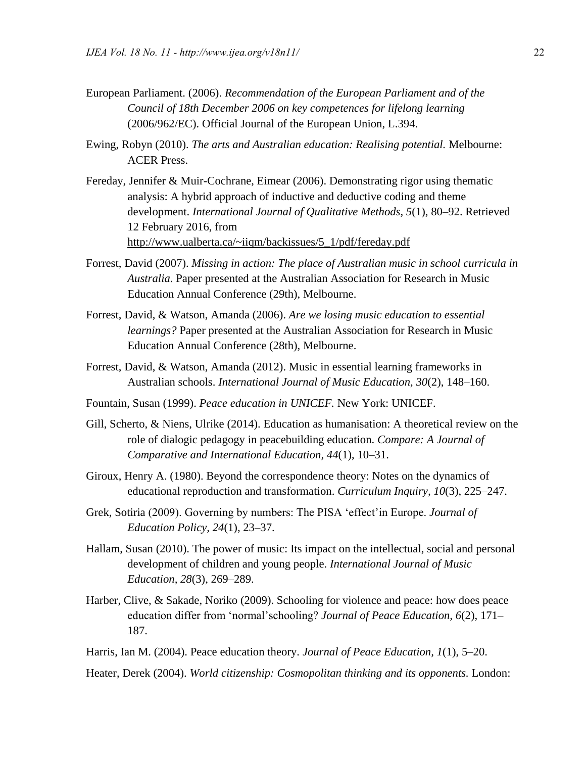- European Parliament. (2006). *Recommendation of the European Parliament and of the Council of 18th December 2006 on key competences for lifelong learning* (2006/962/EC). Official Journal of the European Union, L.394.
- Ewing, Robyn (2010). *The arts and Australian education: Realising potential.* Melbourne: ACER Press.
- Fereday, Jennifer & Muir-Cochrane, Eimear (2006). Demonstrating rigor using thematic analysis: A hybrid approach of inductive and deductive coding and theme development. *International Journal of Qualitative Methods, 5*(1), 80–92. Retrieved 12 February 2016, from [http://www.ualberta.ca/~iiqm/backissues/5\\_1/pdf/fereday.pdf](http://www.ualberta.ca/~iiqm/backissues/5_1/pdf/fereday.pdf)
- Forrest, David (2007). *Missing in action: The place of Australian music in school curricula in Australia.* Paper presented at the Australian Association for Research in Music Education Annual Conference (29th), Melbourne.
- Forrest, David, & Watson, Amanda (2006). *Are we losing music education to essential learnings?* Paper presented at the Australian Association for Research in Music Education Annual Conference (28th), Melbourne.
- Forrest, David, & Watson, Amanda (2012). Music in essential learning frameworks in Australian schools. *International Journal of Music Education, 30*(2), 148–160.
- Fountain, Susan (1999). *Peace education in UNICEF.* New York: UNICEF.
- Gill, Scherto, & Niens, Ulrike (2014). Education as humanisation: A theoretical review on the role of dialogic pedagogy in peacebuilding education. *Compare: A Journal of Comparative and International Education, 44*(1), 10–31.
- Giroux, Henry A. (1980). Beyond the correspondence theory: Notes on the dynamics of educational reproduction and transformation. *Curriculum Inquiry, 10*(3), 225–247.
- Grek, Sotiria (2009). Governing by numbers: The PISA 'effect'in Europe. *Journal of Education Policy, 24*(1), 23–37.
- Hallam, Susan (2010). The power of music: Its impact on the intellectual, social and personal development of children and young people. *International Journal of Music Education, 28*(3), 269–289.
- Harber, Clive, & Sakade, Noriko (2009). Schooling for violence and peace: how does peace education differ from 'normal'schooling? *Journal of Peace Education, 6*(2), 171– 187.
- Harris, Ian M. (2004). Peace education theory. *Journal of Peace Education, 1*(1), 5–20.

Heater, Derek (2004). *World citizenship: Cosmopolitan thinking and its opponents.* London: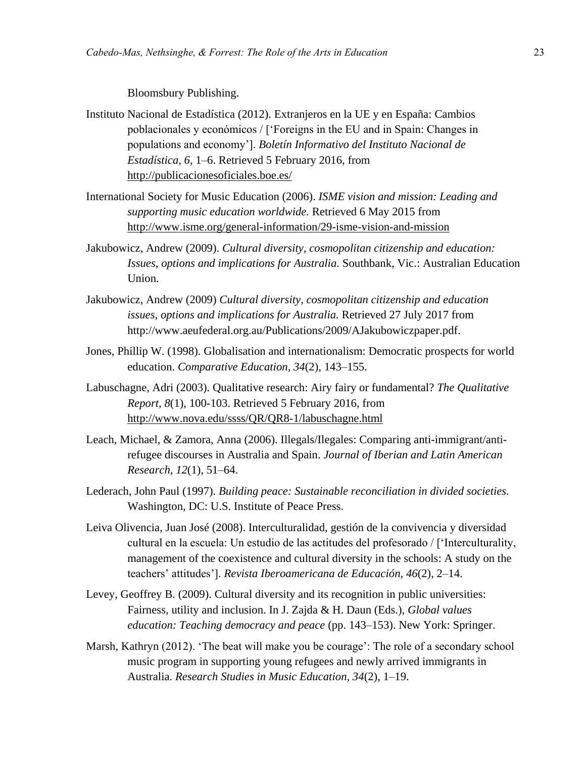Bloomsbury Publishing.

- Instituto Nacional de Estadística (2012). Extranjeros en la UE y en España: Cambios poblacionales y económicos / ['Foreigns in the EU and in Spain: Changes in populations and economy']. *Boletín Informativo del Instituto Nacional de Estadística, 6,* 1–6. Retrieved 5 February 2016, from http://publicacionesoficiales.boe.es/
- International Society for Music Education (2006). *ISME vision and mission: Leading and supporting music education worldwide.* Retrieved 6 May 2015 from http://www.isme.org/general-information/29-isme-vision-and-mission
- Jakubowicz, Andrew (2009). *Cultural diversity, cosmopolitan citizenship and education: Issues, options and implications for Australia.* Southbank, Vic.: Australian Education Union.
- Jakubowicz, Andrew (2009) *Cultural diversity, cosmopolitan citizenship and education issues, options and implications for Australia.* Retrieved 27 July 2017 from http://www.aeufederal.org.au/Publications/2009/AJakubowiczpaper.pdf.
- Jones, Phillip W. (1998). Globalisation and internationalism: Democratic prospects for world education. *Comparative Education, 34*(2), 143–155.
- Labuschagne, Adri (2003). Qualitative research: Airy fairy or fundamental? *The Qualitative Report, 8*(1), 100-103. Retrieved 5 February 2016, from <http://www.nova.edu/ssss/QR/QR8-1/labuschagne.html>
- Leach, Michael, & Zamora, Anna (2006). Illegals/Ilegales: Comparing anti-immigrant/antirefugee discourses in Australia and Spain. *Journal of Iberian and Latin American Research, 12*(1), 51–64.
- Lederach, John Paul (1997). *Building peace: Sustainable reconciliation in divided societies.* Washington, DC: U.S. Institute of Peace Press.
- Leiva Olivencia, Juan José (2008). Interculturalidad, gestión de la convivencia y diversidad cultural en la escuela: Un estudio de las actitudes del profesorado / ['Interculturality, management of the coexistence and cultural diversity in the schools: A study on the teachers' attitudes']. *Revista Iberoamericana de Educación, 46*(2), 2–14.
- Levey, Geoffrey B. (2009). Cultural diversity and its recognition in public universities: Fairness, utility and inclusion. In J. Zajda & H. Daun (Eds.), *Global values education: Teaching democracy and peace* (pp. 143–153). New York: Springer.
- Marsh, Kathryn (2012). 'The beat will make you be courage': The role of a secondary school music program in supporting young refugees and newly arrived immigrants in Australia. *Research Studies in Music Education, 34*(2), 1–19.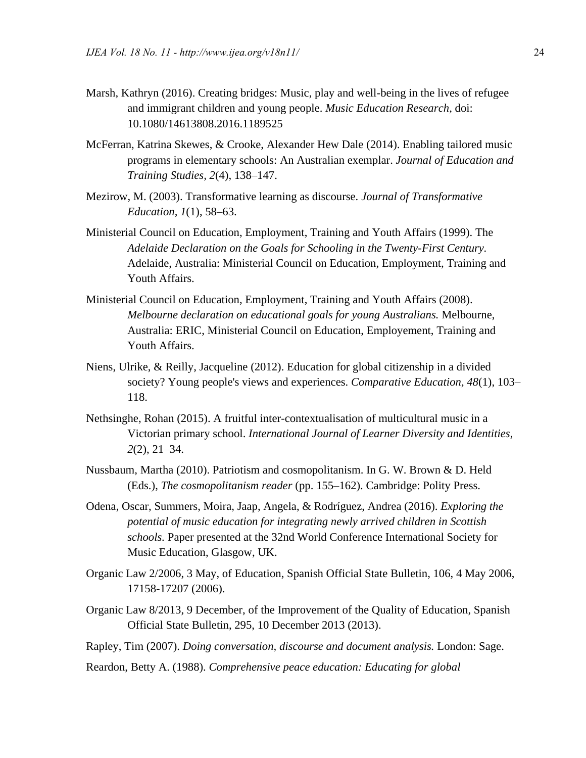- Marsh, Kathryn (2016). Creating bridges: Music, play and well-being in the lives of refugee and immigrant children and young people. *Music Education Research*, doi: 10.1080/14613808.2016.1189525
- McFerran, Katrina Skewes, & Crooke, Alexander Hew Dale (2014). Enabling tailored music programs in elementary schools: An Australian exemplar. *Journal of Education and Training Studies, 2*(4), 138–147.
- Mezirow, M. (2003). Transformative learning as discourse. *Journal of Transformative Education, 1*(1), 58–63.
- Ministerial Council on Education, Employment, Training and Youth Affairs (1999). The *Adelaide Declaration on the Goals for Schooling in the Twenty-First Century.* Adelaide, Australia: Ministerial Council on Education, Employment, Training and Youth Affairs.
- Ministerial Council on Education, Employment, Training and Youth Affairs (2008). *Melbourne declaration on educational goals for young Australians.* Melbourne, Australia: ERIC, Ministerial Council on Education, Employement, Training and Youth Affairs.
- Niens, Ulrike, & Reilly, Jacqueline (2012). Education for global citizenship in a divided society? Young people's views and experiences. *Comparative Education, 48*(1), 103– 118.
- Nethsinghe, Rohan (2015). A fruitful inter-contextualisation of multicultural music in a Victorian primary school. *International Journal of Learner Diversity and Identities, 2*(2), 21–34.
- Nussbaum, Martha (2010). Patriotism and cosmopolitanism. In G. W. Brown & D. Held (Eds.), *The cosmopolitanism reader* (pp. 155–162). Cambridge: Polity Press.
- Odena, Oscar, Summers, Moira, Jaap, Angela, & Rodríguez, Andrea (2016). *Exploring the potential of music education for integrating newly arrived children in Scottish schools.* Paper presented at the 32nd World Conference International Society for Music Education, Glasgow, UK.
- Organic Law 2/2006, 3 May, of Education, Spanish Official State Bulletin, 106, 4 May 2006, 17158-17207 (2006).
- Organic Law 8/2013, 9 December, of the Improvement of the Quality of Education, Spanish Official State Bulletin, 295, 10 December 2013 (2013).
- Rapley, Tim (2007). *Doing conversation, discourse and document analysis.* London: Sage.
- Reardon, Betty A. (1988). *Comprehensive peace education: Educating for global*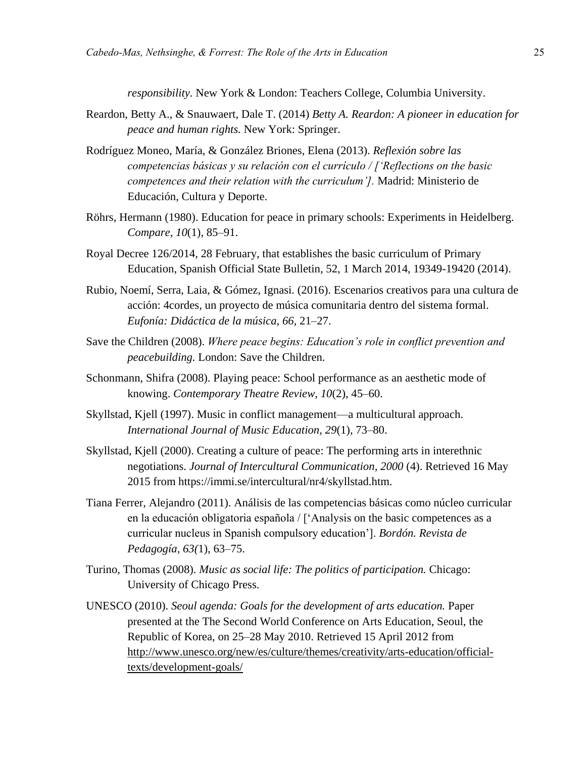*responsibility.* New York & London: Teachers College, Columbia University.

- Reardon, Betty A., & Snauwaert, Dale T. (2014) *Betty A. Reardon: A pioneer in education for peace and human rights.* New York: Springer.
- Rodríguez Moneo, María, & González Briones, Elena (2013). *Reflexión sobre las competencias básicas y su relación con el currículo / ['Reflections on the basic competences and their relation with the curriculum'].* Madrid: Ministerio de Educación, Cultura y Deporte.
- Röhrs, Hermann (1980). Education for peace in primary schools: Experiments in Heidelberg. *Compare, 10*(1), 85–91.
- Royal Decree 126/2014, 28 February, that establishes the basic curriculum of Primary Education, Spanish Official State Bulletin, 52, 1 March 2014, 19349-19420 (2014).
- Rubio, Noemí, Serra, Laia, & Gómez, Ignasi. (2016). Escenarios creativos para una cultura de acción: 4cordes, un proyecto de música comunitaria dentro del sistema formal. *Eufonía: Didáctica de la música, 66,* 21–27.
- Save the Children (2008). *Where peace begins: Education's role in conflict prevention and peacebuilding.* London: Save the Children.
- Schonmann, Shifra (2008). Playing peace: School performance as an aesthetic mode of knowing. *Contemporary Theatre Review, 10*(2), 45–60.
- Skyllstad, Kjell (1997). Music in conflict management—a multicultural approach. *International Journal of Music Education, 29*(1), 73–80.
- Skyllstad, Kjell (2000). Creating a culture of peace: The performing arts in interethnic negotiations. *Journal of Intercultural Communication, 2000* (4). Retrieved 16 May 2015 from https://immi.se/intercultural/nr4/skyllstad.htm.
- Tiana Ferrer, Alejandro (2011). Análisis de las competencias básicas como núcleo curricular en la educación obligatoria española / ['Analysis on the basic competences as a curricular nucleus in Spanish compulsory education']. *Bordón. Revista de Pedagogía, 63(*1), 63–75.
- Turino, Thomas (2008). *Music as social life: The politics of participation.* Chicago: University of Chicago Press.
- UNESCO (2010). *Seoul agenda: Goals for the development of arts education.* Paper presented at the The Second World Conference on Arts Education, Seoul, the Republic of Korea, on 25–28 May 2010. Retrieved 15 April 2012 from [http://www.unesco.org/new/es/culture/themes/creativity/arts-education/official](http://www.unesco.org/new/es/culture/themes/creativity/arts-education/official-texts/development-goals/)[texts/development-goals/](http://www.unesco.org/new/es/culture/themes/creativity/arts-education/official-texts/development-goals/)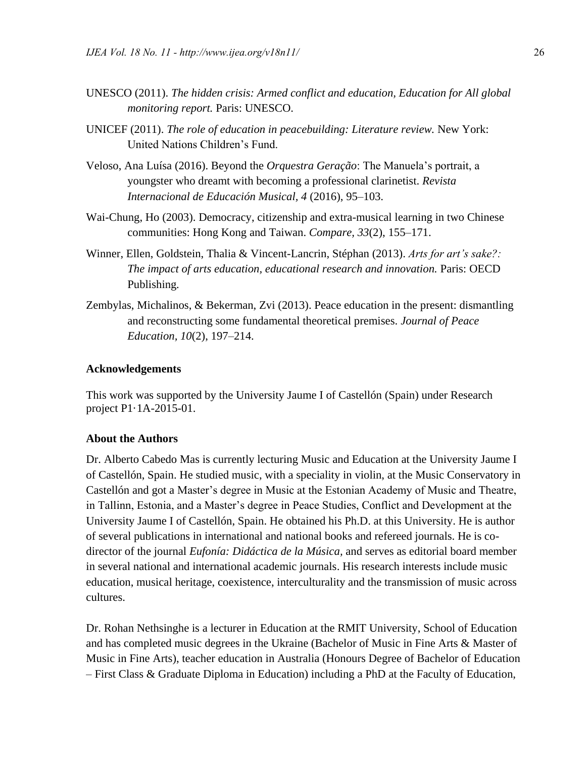- UNESCO (2011). *The hidden crisis: Armed conflict and education, Education for All global monitoring report.* Paris: UNESCO.
- UNICEF (2011). *The role of education in peacebuilding: Literature review.* New York: United Nations Children's Fund.
- Veloso, Ana Luísa (2016). Beyond the *Orquestra Geração*: The Manuela's portrait, a youngster who dreamt with becoming a professional clarinetist. *Revista Internacional de Educación Musical, 4* (2016), 95–103.
- Wai-Chung, Ho (2003). Democracy, citizenship and extra-musical learning in two Chinese communities: Hong Kong and Taiwan. *Compare, 33*(2), 155–171.
- Winner, Ellen, Goldstein, Thalia & Vincent-Lancrin, Stéphan (2013). *Arts for art's sake?: The impact of arts education, educational research and innovation.* Paris: OECD Publishing*.*
- Zembylas, Michalinos, & Bekerman, Zvi (2013). Peace education in the present: dismantling and reconstructing some fundamental theoretical premises. *Journal of Peace Education, 10*(2), 197–214.

#### **Acknowledgements**

This work was supported by the University Jaume I of Castellón (Spain) under Research project P1·1A-2015-01.

#### **About the Authors**

Dr. Alberto Cabedo Mas is currently lecturing Music and Education at the University Jaume I of Castellón, Spain. He studied music, with a speciality in violin, at the Music Conservatory in Castellón and got a Master's degree in Music at the Estonian Academy of Music and Theatre, in Tallinn, Estonia, and a Master's degree in Peace Studies, Conflict and Development at the University Jaume I of Castellón, Spain. He obtained his Ph.D. at this University. He is author of several publications in international and national books and refereed journals. He is codirector of the journal *Eufonía: Didáctica de la Música,* and serves as editorial board member in several national and international academic journals. His research interests include music education, musical heritage, coexistence, interculturality and the transmission of music across cultures.

Dr. Rohan Nethsinghe is a lecturer in Education at the RMIT University, School of Education and has completed music degrees in the Ukraine (Bachelor of Music in Fine Arts & Master of Music in Fine Arts), teacher education in Australia (Honours Degree of Bachelor of Education – First Class & Graduate Diploma in Education) including a PhD at the Faculty of Education,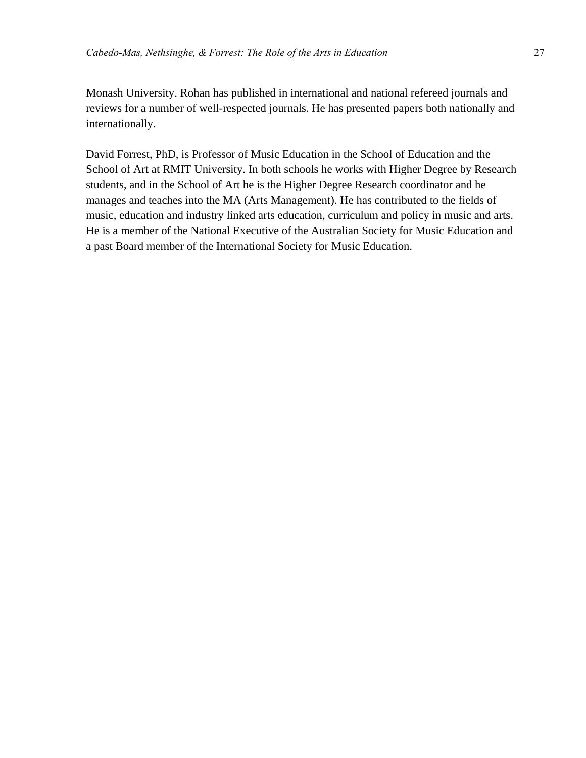Monash University. Rohan has published in international and national refereed journals and reviews for a number of well-respected journals. He has presented papers both nationally and internationally.

David Forrest, PhD, is Professor of Music Education in the School of Education and the School of Art at RMIT University. In both schools he works with Higher Degree by Research students, and in the School of Art he is the Higher Degree Research coordinator and he manages and teaches into the MA (Arts Management). He has contributed to the fields of music, education and industry linked arts education, curriculum and policy in music and arts. He is a member of the National Executive of the Australian Society for Music Education and a past Board member of the International Society for Music Education.